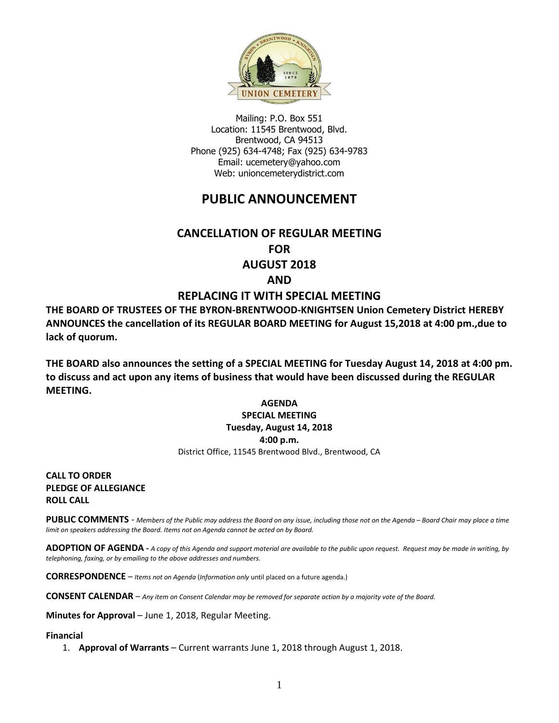

Mailing: P.O. Box 551 Location: 11545 Brentwood, Blvd. Brentwood, CA 94513 Phone (925) 634-4748; Fax (925) 634-9783 Email: [ucemetery@yahoo.com](mailto:ucemetery@yahoo.com) Web: unioncemeterydistrict.com

# **PUBLIC ANNOUNCEMENT**

# **CANCELLATION OF REGULAR MEETING FOR AUGUST 2018 AND**

## **REPLACING IT WITH SPECIAL MEETING**

**THE BOARD OF TRUSTEES OF THE BYRON-BRENTWOOD-KNIGHTSEN Union Cemetery District HEREBY ANNOUNCES the cancellation of its REGULAR BOARD MEETING for August 15,2018 at 4:00 pm.,due to lack of quorum.**

**THE BOARD also announces the setting of a SPECIAL MEETING for Tuesday August 14, 2018 at 4:00 pm. to discuss and act upon any items of business that would have been discussed during the REGULAR MEETING.**

#### **AGENDA SPECIAL MEETING Tuesday, August 14, 2018 4:00 p.m.** District Office, 11545 Brentwood Blvd., Brentwood, CA

**CALL TO ORDER PLEDGE OF ALLEGIANCE ROLL CALL**

PUBLIC COMMENTS - Members of the Public may address the Board on any issue, including those not on the Agenda – Board Chair may place a time *limit on speakers addressing the Board. Items not on Agenda cannot be acted on by Board.* 

**ADOPTION OF AGENDA -** *A copy of this Agenda and support material are available to the public upon request. Request may be made in writing, by telephoning, faxing, or by emailing to the above addresses and numbers.*

**CORRESPONDENCE** *– Items not on Agenda* (*Information only* until placed on a future agenda.)

**CONSENT CALENDAR** – *Any item on Consent Calendar may be removed for separate action by a majority vote of the Board.*

**Minutes for Approval** – June 1, 2018, Regular Meeting.

#### **Financial**

1. **Approval of Warrants** – Current warrants June 1, 2018 through August 1, 2018.